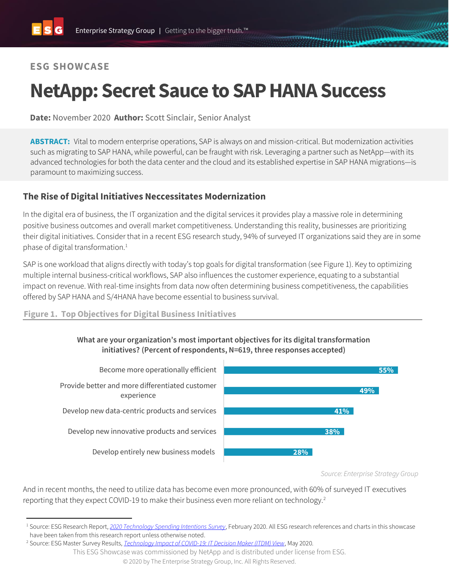# **ESG SHOWCASE**

# **NetApp: Secret Sauce to SAP HANA Success**

**Date:** November 2020 **Author:** Scott Sinclair, Senior Analyst

**ABSTRACT:** Vital to modern enterprise operations, SAP is always on and mission-critical. But modernization activities such as migrating to SAP HANA, while powerful, can be fraught with risk. Leveraging a partner such as NetApp—with its advanced technologies for both the data center and the cloud and its established expertise in SAP HANA migrations—is paramount to maximizing success.

## **The Rise of Digital Initiatives Neccessitates Modernization**

In the digital era of business, the IT organization and the digital services it provides play a massive role in determining positive business outcomes and overall market competitiveness. Understanding this reality, businesses are prioritizing their digital initiatives. Consider that in a recent ESG research study, 94% of surveyed IT organizations said they are in some phase of digital transformation.<sup>1</sup>

SAP is one workload that aligns directly with today's top goals for digital transformation (see Figure 1). Key to optimizing multiple internal business-critical workflows, SAP also influences the customer experience, equating to a substantial impact on revenue. With real-time insights from data now often determining business competitiveness, the capabilities offered by SAP HANA and S/4HANA have become essential to business survival.

**Figure 1. Top Objectives for Digital Business Initiatives**

#### **What are your organization's most important objectives for its digital transformation initiatives? (Percent of respondents, N=619, three responses accepted)**



*Source: Enterprise Strategy Group*

And in recent months, the need to utilize data has become even more pronounced, with 60% of surveyed IT executives reporting that they expect COVID-19 to make their business even more reliant on technology.<sup>2</sup>

<sup>1</sup> Source: ESG Research Report, *[2020 Technology Spending Intentions Survey](https://research.esg-global.com/reportaction/2020TechnologySpendingIntentions/Toc)*, February 2020. All ESG research references and charts in this showcase have been taken from this research report unless otherwise noted.

<sup>2</sup> Source: ESG Master Survey Results, *[Technology Impact of COVID-19: IT Decision Maker \(ITDM\) View](https://research.esg-global.com/reportaction/COVID19TechImpactITDMView/Toc)*, May 2020.

This ESG Showcase was commissioned by NetApp and is distributed under license from ESG.

<sup>©</sup> 2020 by The Enterprise Strategy Group, Inc. All Rights Reserved.